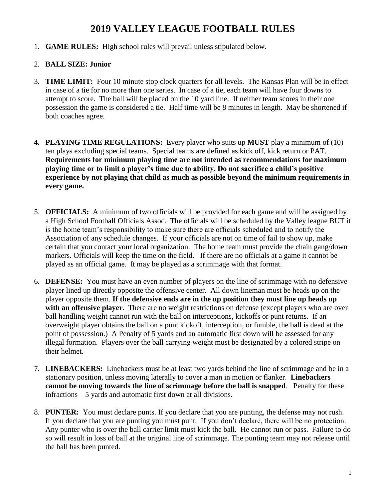# **2019 VALLEY LEAGUE FOOTBALL RULES**

1. **GAME RULES:** High school rules will prevail unless stipulated below.

# 2. **BALL SIZE: Junior**

- 3. **TIME LIMIT:** Four 10 minute stop clock quarters for all levels. The Kansas Plan will be in effect in case of a tie for no more than one series. In case of a tie, each team will have four downs to attempt to score. The ball will be placed on the 10 yard line. If neither team scores in their one possession the game is considered a tie. Half time will be 8 minutes in length. May be shortened if both coaches agree.
- **4. PLAYING TIME REGULATIONS:** Every player who suits up **MUST** play a minimum of (10) ten plays excluding special teams. Special teams are defined as kick off, kick return or PAT. **Requirements for minimum playing time are not intended as recommendations for maximum playing time or to limit a player's time due to ability. Do not sacrifice a child's positive experience by not playing that child as much as possible beyond the minimum requirements in every game.**
- 5. **OFFICIALS:** A minimum of two officials will be provided for each game and will be assigned by a High School Football Officials Assoc. The officials will be scheduled by the Valley league BUT it is the home team's responsibility to make sure there are officials scheduled and to notify the Association of any schedule changes. If your officials are not on time of fail to show up, make certain that you contact your local organization. The home team must provide the chain gang/down markers. Officials will keep the time on the field. If there are no officials at a game it cannot be played as an official game. It may be played as a scrimmage with that format.
- 6. **DEFENSE:** You must have an even number of players on the line of scrimmage with no defensive player lined up directly opposite the offensive center. All down lineman must be heads up on the player opposite them. **If the defensive ends are in the up position they must line up heads up with an offensive player**. There are no weight restrictions on defense (except players who are over ball handling weight cannot run with the ball on interceptions, kickoffs or punt returns. If an overweight player obtains the ball on a punt kickoff, interception, or fumble, the ball is dead at the point of possession.) A Penalty of 5 yards and an automatic first down will be assessed for any illegal formation. Players over the ball carrying weight must be designated by a colored stripe on their helmet.
- 7. **LINEBACKERS:** Linebackers must be at least two yards behind the line of scrimmage and be in a stationary position, unless moving laterally to cover a man in motion or flanker. **Linebackers cannot be moving towards the line of scrimmage before the ball is snapped**. Penalty for these infractions – 5 yards and automatic first down at all divisions.
- 8. **PUNTER:** You must declare punts. If you declare that you are punting, the defense may not rush. If you declare that you are punting you must punt. If you don't declare, there will be no protection. Any punter who is over the ball carrier limit must kick the ball. He cannot run or pass. Failure to do so will result in loss of ball at the original line of scrimmage. The punting team may not release until the ball has been punted.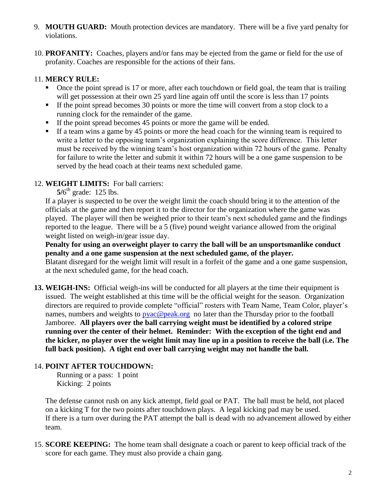- 9. **MOUTH GUARD:** Mouth protection devices are mandatory. There will be a five yard penalty for violations.
- 10. **PROFANITY:** Coaches, players and/or fans may be ejected from the game or field for the use of profanity. Coaches are responsible for the actions of their fans.

### 11. **MERCY RULE:**

- Once the point spread is 17 or more, after each touchdown or field goal, the team that is trailing will get possession at their own 25 yard line again off until the score is less than 17 points
- If the point spread becomes 30 points or more the time will convert from a stop clock to a running clock for the remainder of the game.
- If the point spread becomes 45 points or more the game will be ended.
- If a team wins a game by 45 points or more the head coach for the winning team is required to write a letter to the opposing team's organization explaining the score difference. This letter must be received by the winning team's host organization within 72 hours of the game. Penalty for failure to write the letter and submit it within 72 hours will be a one game suspension to be served by the head coach at their teams next scheduled game.

# 12. **WEIGHT LIMITS:** For ball carriers:

 $5/6<sup>th</sup>$  grade: 125 lbs.

If a player is suspected to be over the weight limit the coach should bring it to the attention of the officials at the game and then report it to the director for the organization where the game was played. The player will then be weighed prior to their team's next scheduled game and the findings reported to the league. There will be a 5 (five) pound weight variance allowed from the original weight listed on weigh-in/gear issue day.

**Penalty for using an overweight player to carry the ball will be an unsportsmanlike conduct penalty and a one game suspension at the next scheduled game, of the player.** Blatant disregard for the weight limit will result in a forfeit of the game and a one game suspension, at the next scheduled game, for the head coach.

**13. WEIGH-INS:** Official weigh-ins will be conducted for all players at the time their equipment is issued. The weight established at this time will be the official weight for the season. Organization directors are required to provide complete "official" rosters with Team Name, Team Color, player's names, numbers and weights to [pyac@peak.org](mailto:pyac@peak.org) no later than the Thursday prior to the football Jamboree. **All players over the ball carrying weight must be identified by a colored stripe running over the center of their helmet. Reminder: With the exception of the tight end and the kicker, no player over the weight limit may line up in a position to receive the ball (i.e. The full back position). A tight end over ball carrying weight may not handle the ball.**

# 14. **POINT AFTER TOUCHDOWN:**

Running or a pass: 1 point Kicking: 2 points

The defense cannot rush on any kick attempt, field goal or PAT. The ball must be held, not placed on a kicking T for the two points after touchdown plays. A legal kicking pad may be used. If there is a turn over during the PAT attempt the ball is dead with no advancement allowed by either team.

15. **SCORE KEEPING:** The home team shall designate a coach or parent to keep official track of the score for each game. They must also provide a chain gang.